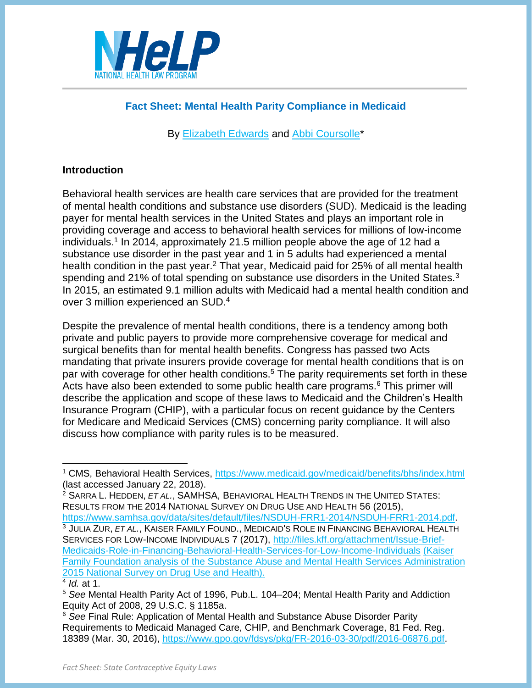

# **Fact Sheet: Mental Health Parity Compliance in Medicaid**

By [Elizabeth Edwards](http://www.healthlaw.org/about/staff/elizabeth-edwards) and [Abbi Coursolle\\*](http://www.healthlaw.org/about/staff/abbi-coursolle)

### **Introduction**

Behavioral health services are health care services that are provided for the treatment of mental health conditions and substance use disorders (SUD). Medicaid is the leading payer for mental health services in the United States and plays an important role in providing coverage and access to behavioral health services for millions of low-income individuals.<sup>1</sup> In 2014, approximately 21.5 million people above the age of 12 had a substance use disorder in the past year and 1 in 5 adults had experienced a mental health condition in the past year.<sup>2</sup> That year, Medicaid paid for 25% of all mental health spending and 21% of total spending on substance use disorders in the United States.<sup>3</sup> In 2015, an estimated 9.1 million adults with Medicaid had a mental health condition and over 3 million experienced an SUD. 4

Despite the prevalence of mental health conditions, there is a tendency among both private and public payers to provide more comprehensive coverage for medical and surgical benefits than for mental health benefits. Congress has passed two Acts mandating that private insurers provide coverage for mental health conditions that is on par with coverage for other health conditions.<sup>5</sup> The parity requirements set forth in these Acts have also been extended to some public health care programs.<sup>6</sup> This primer will describe the application and scope of these laws to Medicaid and the Children's Health Insurance Program (CHIP), with a particular focus on recent guidance by the Centers for Medicare and Medicaid Services (CMS) concerning parity compliance. It will also discuss how compliance with parity rules is to be measured.

<sup>2</sup> SARRA L. HEDDEN, *ET AL.*, SAMHSA, BEHAVIORAL HEALTH TRENDS IN THE UNITED STATES: RESULTS FROM THE 2014 NATIONAL SURVEY ON DRUG USE AND HEALTH 56 (2015),

[https://www.samhsa.gov/data/sites/default/files/NSDUH-FRR1-2014/NSDUH-FRR1-2014.pdf.](https://www.samhsa.gov/data/sites/default/files/NSDUH-FRR1-2014/NSDUH-FRR1-2014.pdf) <sup>3</sup> JULIA ZUR, *ET AL.*, KAISER FAMILY FOUND., MEDICAID'S ROLE IN FINANCING BEHAVIORAL HEALTH SERVICES FOR LOW-INCOME INDIVIDUALS 7 (2017), [http://files.kff.org/attachment/Issue-Brief-](http://files.kff.org/attachment/Issue-Brief-Medicaids-Role-in-Financing-Behavioral-Health-Services-for-Low-Income-Individuals)[Medicaids-Role-in-Financing-Behavioral-Health-Services-for-Low-Income-Individuals](http://files.kff.org/attachment/Issue-Brief-Medicaids-Role-in-Financing-Behavioral-Health-Services-for-Low-Income-Individuals) (Kaiser Family Foundation analysis of the Substance Abuse and Mental Health Services Administration 2015 National Survey on Drug Use and Health).

<sup>1</sup> CMS, Behavioral Health Services,<https://www.medicaid.gov/medicaid/benefits/bhs/index.html> (last accessed January 22, 2018).

<sup>4</sup> *Id.* at 1.

<sup>5</sup> *See* Mental Health Parity Act of 1996, Pub.L. 104–204; Mental Health Parity and Addiction Equity Act of 2008, 29 U.S.C. § 1185a.

<sup>6</sup> *See* Final Rule: Application of Mental Health and Substance Abuse Disorder Parity Requirements to Medicaid Managed Care, CHIP, and Benchmark Coverage, 81 Fed. Reg. 18389 (Mar. 30, 2016), [https://www.gpo.gov/fdsys/pkg/FR-2016-03-30/pdf/2016-06876.pdf.](https://www.gpo.gov/fdsys/pkg/FR-2016-03-30/pdf/2016-06876.pdf)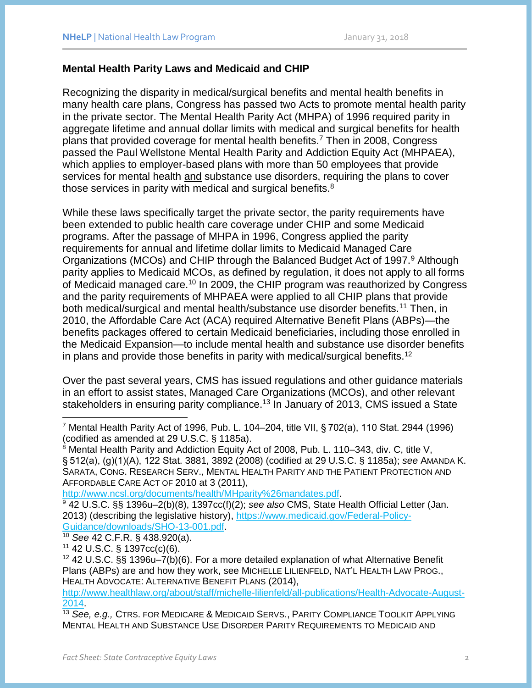#### **Mental Health Parity Laws and Medicaid and CHIP**

Recognizing the disparity in medical/surgical benefits and mental health benefits in many health care plans, Congress has passed two Acts to promote mental health parity in the private sector. The Mental Health Parity Act (MHPA) of 1996 required parity in aggregate lifetime and annual dollar limits with medical and surgical benefits for health plans that provided coverage for mental health benefits. <sup>7</sup> Then in 2008, Congress passed the Paul Wellstone Mental Health Parity and Addiction Equity Act (MHPAEA), which applies to employer-based plans with more than 50 employees that provide services for mental health and substance use disorders, requiring the plans to cover those services in parity with medical and surgical benefits.<sup>8</sup>

<span id="page-1-0"></span>While these laws specifically target the private sector, the parity requirements have been extended to public health care coverage under CHIP and some Medicaid programs. After the passage of MHPA in 1996, Congress applied the parity requirements for annual and lifetime dollar limits to Medicaid Managed Care Organizations (MCOs) and CHIP through the Balanced Budget Act of 1997.<sup>9</sup> Although parity applies to Medicaid MCOs, as defined by regulation, it does not apply to all forms of Medicaid managed care.<sup>10</sup> In 2009, the CHIP program was reauthorized by Congress and the parity requirements of MHPAEA were applied to all CHIP plans that provide both medical/surgical and mental health/substance use disorder benefits.<sup>11</sup> Then, in 2010, the Affordable Care Act (ACA) required Alternative Benefit Plans (ABPs)—the benefits packages offered to certain Medicaid beneficiaries, including those enrolled in the Medicaid Expansion—to include mental health and substance use disorder benefits in plans and provide those benefits in parity with medical/surgical benefits.<sup>12</sup>

Over the past several years, CMS has issued regulations and other guidance materials in an effort to assist states, Managed Care Organizations (MCOs), and other relevant stakeholders in ensuring parity compliance.<sup>13</sup> In January of 2013, CMS issued a State

[http://www.ncsl.org/documents/health/MHparity%26mandates.pdf.](http://www.ncsl.org/documents/health/MHparity%26mandates.pdf)

<sup>9</sup> 42 U.S.C. §§ 1396u–2(b)(8), 1397cc(f)(2); *see also* CMS, State Health Official Letter (Jan. 2013) (describing the legislative history), [https://www.medicaid.gov/Federal-Policy-](https://www.medicaid.gov/Federal-Policy-Guidance/downloads/SHO-13-001.pdf)[Guidance/downloads/SHO-13-001.pdf.](https://www.medicaid.gov/Federal-Policy-Guidance/downloads/SHO-13-001.pdf)

<sup>10</sup> *See* 42 C.F.R. § 438.920(a).

 $11$  42 U.S.C. § 1397cc(c)(6).

<sup>12</sup> 42 U.S.C. §§ 1396u–7(b)(6). For a more detailed explanation of what Alternative Benefit Plans (ABPs) are and how they work, see MICHELLE LILIENFELD, NAT'L HEALTH LAW PROG., HEALTH ADVOCATE: ALTERNATIVE BENEFIT PLANS (2014),

[http://www.healthlaw.org/about/staff/michelle-lilienfeld/all-publications/Health-Advocate-August-](http://www.healthlaw.org/about/staff/michelle-lilienfeld/all-publications/Health-Advocate-August-2014)[2014.](http://www.healthlaw.org/about/staff/michelle-lilienfeld/all-publications/Health-Advocate-August-2014)

<sup>13</sup> *See, e.g.,* CTRS. FOR MEDICARE & MEDICAID SERVS., PARITY COMPLIANCE TOOLKIT APPLYING MENTAL HEALTH AND SUBSTANCE USE DISORDER PARITY REQUIREMENTS TO MEDICAID AND

 <sup>7</sup> Mental Health Parity Act of 1996, Pub. L. 104–204, title VII, § 702(a), 110 Stat. 2944 (1996) (codified as amended at 29 U.S.C. § 1185a).

<sup>8</sup> Mental Health Parity and Addiction Equity Act of 2008, Pub. L. 110–343, div. C, title V, § 512(a), (g)(1)(A), 122 Stat. 3881, 3892 (2008) (codified at 29 U.S.C. § 1185a); *see* AMANDA K. SARATA, CONG. RESEARCH SERV., MENTAL HEALTH PARITY AND THE PATIENT PROTECTION AND AFFORDABLE CARE ACT OF 2010 at 3 (2011),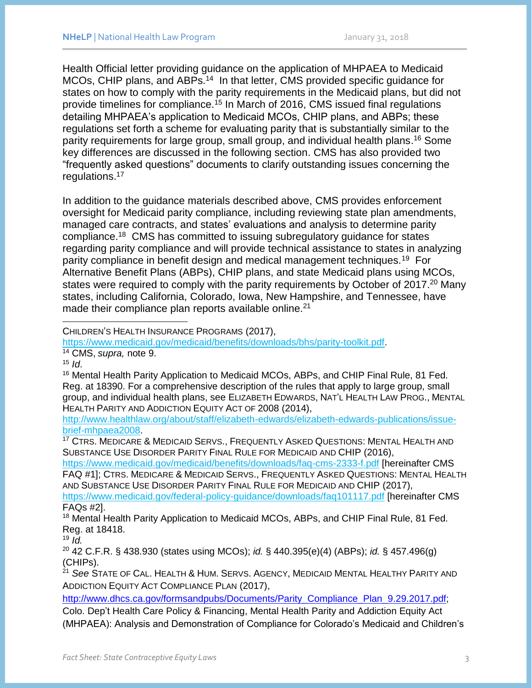Health Official letter providing guidance on the application of MHPAEA to Medicaid MCOs, CHIP plans, and ABPs.<sup>14</sup> In that letter, CMS provided specific guidance for states on how to comply with the parity requirements in the Medicaid plans, but did not provide timelines for compliance.<sup>15</sup> In March of 2016, CMS issued final regulations detailing MHPAEA's application to Medicaid MCOs, CHIP plans, and ABPs; these regulations set forth a scheme for evaluating parity that is substantially similar to the parity requirements for large group, small group, and individual health plans. <sup>16</sup> Some key differences are discussed in the following section. CMS has also provided two "frequently asked questions" documents to clarify outstanding issues concerning the regulations. 17

<span id="page-2-0"></span>In addition to the guidance materials described above, CMS provides enforcement oversight for Medicaid parity compliance, including reviewing state plan amendments, managed care contracts, and states' evaluations and analysis to determine parity compliance.<sup>18</sup> CMS has committed to issuing subregulatory guidance for states regarding parity compliance and will provide technical assistance to states in analyzing parity compliance in benefit design and medical management techniques.<sup>19</sup> For Alternative Benefit Plans (ABPs), CHIP plans, and state Medicaid plans using MCOs, states were required to comply with the parity requirements by October of 2017.<sup>20</sup> Many states, including California, Colorado, Iowa, New Hampshire, and Tennessee, have made their compliance plan reports available online.<sup>21</sup>

CHILDREN'S HEALTH INSURANCE PROGRAMS (2017),

[https://www.medicaid.gov/medicaid/benefits/downloads/bhs/parity-toolkit.pdf.](https://www.medicaid.gov/medicaid/benefits/downloads/bhs/parity-toolkit.pdf)

<sup>14</sup> CMS, *supra,* note [9.](#page-1-0)

 $15$  *Id.* 

<sup>16</sup> Mental Health Parity Application to Medicaid MCOs, ABPs, and CHIP Final Rule, 81 Fed. Reg. at 18390. For a comprehensive description of the rules that apply to large group, small group, and individual health plans, see ELIZABETH EDWARDS, NAT'L HEALTH LAW PROG., MENTAL HEALTH PARITY AND ADDICTION EQUITY ACT OF 2008 (2014),

[http://www.healthlaw.org/about/staff/elizabeth-edwards/elizabeth-edwards-publications/issue](http://www.healthlaw.org/about/staff/elizabeth-edwards/elizabeth-edwards-publications/issue-brief-mhpaea2008)[brief-mhpaea2008.](http://www.healthlaw.org/about/staff/elizabeth-edwards/elizabeth-edwards-publications/issue-brief-mhpaea2008)

<sup>17</sup> CTRS. MEDICARE & MEDICAID SERVS., FREQUENTLY ASKED QUESTIONS: MENTAL HEALTH AND SUBSTANCE USE DISORDER PARITY FINAL RULE FOR MEDICAID AND CHIP (2016),

<https://www.medicaid.gov/medicaid/benefits/downloads/faq-cms-2333-f.pdf> [hereinafter CMS FAQ #1]; CTRS. MEDICARE & MEDICAID SERVS., FREQUENTLY ASKED QUESTIONS: MENTAL HEALTH AND SUBSTANCE USE DISORDER PARITY FINAL RULE FOR MEDICAID AND CHIP (2017),

<https://www.medicaid.gov/federal-policy-guidance/downloads/faq101117.pdf> [hereinafter CMS FAQs #2].

<sup>18</sup> Mental Health Parity Application to Medicaid MCOs, ABPs, and CHIP Final Rule, 81 Fed. Reg. at 18418.

 $19 \overline{Id}$ .

<sup>20</sup> 42 C.F.R. § 438.930 (states using MCOs); *id.* § 440.395(e)(4) (ABPs); *id.* § 457.496(g) (CHIPs).

<sup>21</sup> *See* STATE OF CAL. HEALTH & HUM. SERVS. AGENCY, MEDICAID MENTAL HEALTHY PARITY AND ADDICTION EQUITY ACT COMPLIANCE PLAN (2017),

[http://www.dhcs.ca.gov/formsandpubs/Documents/Parity\\_Compliance\\_Plan\\_9.29.2017.pdf;](http://www.dhcs.ca.gov/formsandpubs/Documents/Parity_Compliance_Plan_9.29.2017.pdf)

Colo. Dep't Health Care Policy & Financing, Mental Health Parity and Addiction Equity Act (MHPAEA): Analysis and Demonstration of Compliance for Colorado's Medicaid and Children's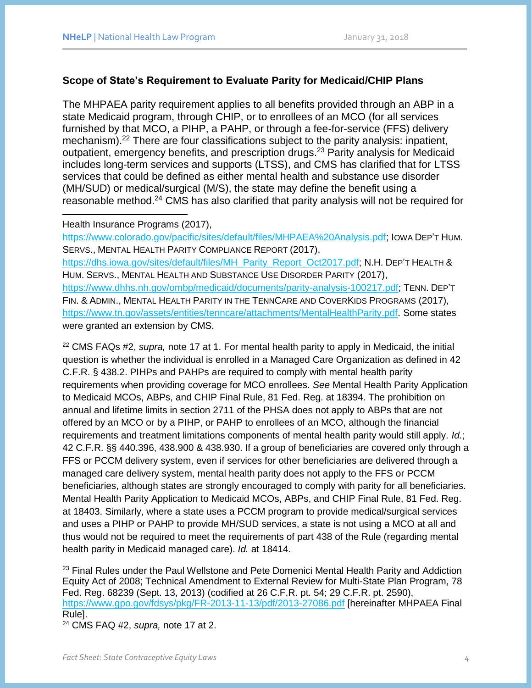## **Scope of State's Requirement to Evaluate Parity for Medicaid/CHIP Plans**

The MHPAEA parity requirement applies to all benefits provided through an ABP in a state Medicaid program, through CHIP, or to enrollees of an MCO (for all services furnished by that MCO, a PIHP, a PAHP, or through a fee-for-service (FFS) delivery mechanism).<sup>22</sup> There are four classifications subject to the parity analysis: inpatient, outpatient, emergency benefits, and prescription drugs.<sup>23</sup> Parity analysis for Medicaid includes long-term services and supports (LTSS), and CMS has clarified that for LTSS services that could be defined as either mental health and substance use disorder (MH/SUD) or medical/surgical (M/S), the state may define the benefit using a reasonable method.<sup>24</sup> CMS has also clarified that parity analysis will not be required for

#### Health Insurance Programs (2017),

 $\overline{a}$ 

[https://www.colorado.gov/pacific/sites/default/files/MHPAEA%20Analysis.pdf;](https://www.colorado.gov/pacific/sites/default/files/MHPAEA%20Analysis.pdf) IOWA DEP'T HUM. SERVS., MENTAL HEALTH PARITY COMPLIANCE REPORT (2017), [https://dhs.iowa.gov/sites/default/files/MH\\_Parity\\_Report\\_Oct2017.pdf;](https://dhs.iowa.gov/sites/default/files/MH_Parity_Report_Oct2017.pdf) N.H. DEP'T HEALTH & HUM. SERVS., MENTAL HEALTH AND SUBSTANCE USE DISORDER PARITY (2017), [https://www.dhhs.nh.gov/ombp/medicaid/documents/parity-analysis-100217.pdf;](https://www.dhhs.nh.gov/ombp/medicaid/documents/parity-analysis-100217.pdf) TENN. DEP'T FIN. & ADMIN., MENTAL HEALTH PARITY IN THE TENNCARE AND COVERKIDS PROGRAMS (2017), [https://www.tn.gov/assets/entities/tenncare/attachments/MentalHealthParity.pdf.](https://www.tn.gov/assets/entities/tenncare/attachments/MentalHealthParity.pdf) Some states were granted an extension by CMS.

<sup>22</sup> CMS FAQs #2, *supra,* note [17](#page-2-0) at 1. For mental health parity to apply in Medicaid, the initial question is whether the individual is enrolled in a Managed Care Organization as defined in 42 C.F.R. § 438.2. PIHPs and PAHPs are required to comply with mental health parity requirements when providing coverage for MCO enrollees. *See* Mental Health Parity Application to Medicaid MCOs, ABPs, and CHIP Final Rule, 81 Fed. Reg. at 18394. The prohibition on annual and lifetime limits in section 2711 of the PHSA does not apply to ABPs that are not offered by an MCO or by a PIHP, or PAHP to enrollees of an MCO, although the financial requirements and treatment limitations components of mental health parity would still apply. *Id.*; 42 C.F.R. §§ 440.396, 438.900 & 438.930. If a group of beneficiaries are covered only through a FFS or PCCM delivery system, even if services for other beneficiaries are delivered through a managed care delivery system, mental health parity does not apply to the FFS or PCCM beneficiaries, although states are strongly encouraged to comply with parity for all beneficiaries. Mental Health Parity Application to Medicaid MCOs, ABPs, and CHIP Final Rule, 81 Fed. Reg. at 18403. Similarly, where a state uses a PCCM program to provide medical/surgical services and uses a PIHP or PAHP to provide MH/SUD services, a state is not using a MCO at all and thus would not be required to meet the requirements of part 438 of the Rule (regarding mental health parity in Medicaid managed care). *Id.* at 18414.

 $23$  Final Rules under the Paul Wellstone and Pete Domenici Mental Health Parity and Addiction Equity Act of 2008; Technical Amendment to External Review for Multi-State Plan Program, 78 Fed. Reg. 68239 (Sept. 13, 2013) (codified at 26 C.F.R. pt. 54; 29 C.F.R. pt. 2590), <https://www.gpo.gov/fdsys/pkg/FR-2013-11-13/pdf/2013-27086.pdf> [hereinafter MHPAEA Final Rule]. <sup>24</sup> CMS FAQ #2, *supra,* note [17](#page-2-0) at 2.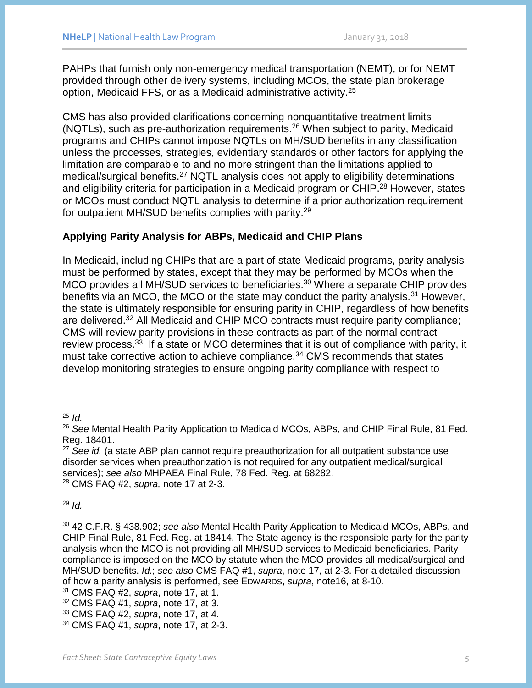PAHPs that furnish only non-emergency medical transportation (NEMT), or for NEMT provided through other delivery systems, including MCOs, the state plan brokerage option, Medicaid FFS, or as a Medicaid administrative activity.<sup>25</sup>

CMS has also provided clarifications concerning nonquantitative treatment limits (NQTLs), such as pre-authorization requirements.<sup>26</sup> When subject to parity, Medicaid programs and CHIPs cannot impose NQTLs on MH/SUD benefits in any classification unless the processes, strategies, evidentiary standards or other factors for applying the limitation are comparable to and no more stringent than the limitations applied to medical/surgical benefits.<sup>27</sup> NQTL analysis does not apply to eligibility determinations and eligibility criteria for participation in a Medicaid program or CHIP.<sup>28</sup> However, states or MCOs must conduct NQTL analysis to determine if a prior authorization requirement for outpatient MH/SUD benefits complies with parity.<sup>29</sup>

## **Applying Parity Analysis for ABPs, Medicaid and CHIP Plans**

In Medicaid, including CHIPs that are a part of state Medicaid programs, parity analysis must be performed by states, except that they may be performed by MCOs when the MCO provides all MH/SUD services to beneficiaries. <sup>30</sup> Where a separate CHIP provides benefits via an MCO, the MCO or the state may conduct the parity analysis.<sup>31</sup> However, the state is ultimately responsible for ensuring parity in CHIP, regardless of how benefits are delivered.<sup>32</sup> All Medicaid and CHIP MCO contracts must require parity compliance; CMS will review parity provisions in these contracts as part of the normal contract review process.<sup>33</sup> If a state or MCO determines that it is out of compliance with parity, it must take corrective action to achieve compliance.<sup>34</sup> CMS recommends that states develop monitoring strategies to ensure ongoing parity compliance with respect to

<sup>29</sup> *Id.*

<sup>30</sup> 42 C.F.R. § 438.902; *see also* Mental Health Parity Application to Medicaid MCOs, ABPs, and CHIP Final Rule, 81 Fed. Reg. at 18414. The State agency is the responsible party for the parity analysis when the MCO is not providing all MH/SUD services to Medicaid beneficiaries. Parity compliance is imposed on the MCO by statute when the MCO provides all medical/surgical and MH/SUD benefits. *Id.*; *see also* CMS FAQ #1, *supra*, note [17,](#page-2-0) at 2-3. For a detailed discussion of how a parity analysis is performed, see EDWARDS, *supra*, note16, at 8-10.

 <sup>25</sup> *Id.*

<sup>26</sup> *See* Mental Health Parity Application to Medicaid MCOs, ABPs, and CHIP Final Rule, 81 Fed. Reg. 18401.

<sup>&</sup>lt;sup>27</sup> See id. (a state ABP plan cannot require preauthorization for all outpatient substance use disorder services when preauthorization is not required for any outpatient medical/surgical services); *see also* MHPAEA Final Rule, 78 Fed. Reg. at 68282. <sup>28</sup> CMS FAQ #2, *supra,* note [17](#page-2-0) at 2-3.

<sup>31</sup> CMS FAQ #2, *supra*, note 17, at 1.

<sup>32</sup> CMS FAQ #1, *supra*, note 17, at 3.

<sup>33</sup> CMS FAQ #2, *supra*, note 17, at 4.

<sup>34</sup> CMS FAQ #1, *supra*, note 17, at 2-3.